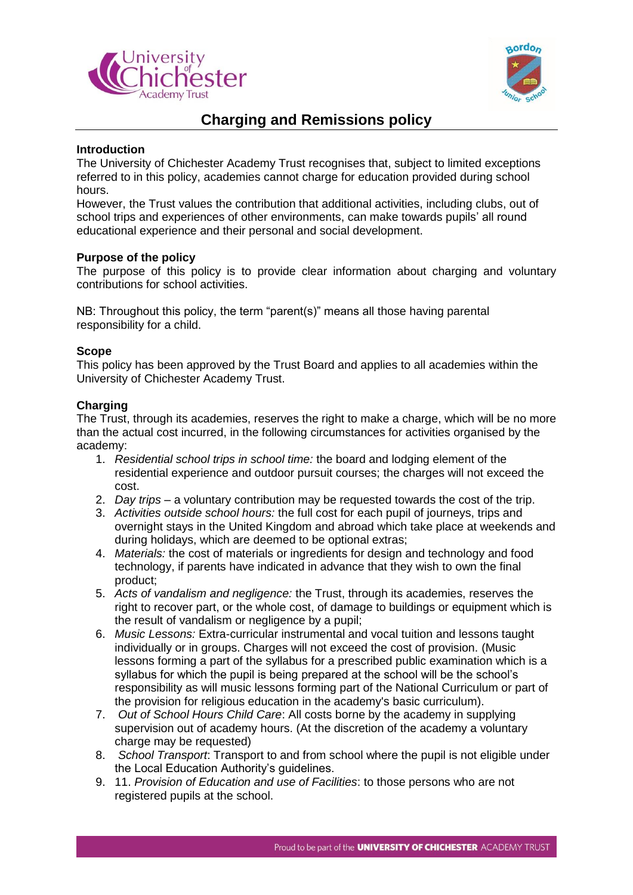



# **Charging and Remissions policy**

# **Introduction**

The University of Chichester Academy Trust recognises that, subject to limited exceptions referred to in this policy, academies cannot charge for education provided during school hours.

However, the Trust values the contribution that additional activities, including clubs, out of school trips and experiences of other environments, can make towards pupils' all round educational experience and their personal and social development.

## **Purpose of the policy**

The purpose of this policy is to provide clear information about charging and voluntary contributions for school activities.

NB: Throughout this policy, the term "parent(s)" means all those having parental responsibility for a child.

## **Scope**

This policy has been approved by the Trust Board and applies to all academies within the University of Chichester Academy Trust.

# **Charging**

The Trust, through its academies, reserves the right to make a charge, which will be no more than the actual cost incurred, in the following circumstances for activities organised by the academy:

- 1. *Residential school trips in school time:* the board and lodging element of the residential experience and outdoor pursuit courses; the charges will not exceed the cost.
- 2. *Day trips* a voluntary contribution may be requested towards the cost of the trip.
- 3. *Activities outside school hours:* the full cost for each pupil of journeys, trips and overnight stays in the United Kingdom and abroad which take place at weekends and during holidays, which are deemed to be optional extras;
- 4. *Materials:* the cost of materials or ingredients for design and technology and food technology, if parents have indicated in advance that they wish to own the final product;
- 5. *Acts of vandalism and negligence:* the Trust, through its academies, reserves the right to recover part, or the whole cost, of damage to buildings or equipment which is the result of vandalism or negligence by a pupil;
- 6. *Music Lessons:* Extra-curricular instrumental and vocal tuition and lessons taught individually or in groups. Charges will not exceed the cost of provision. (Music lessons forming a part of the syllabus for a prescribed public examination which is a syllabus for which the pupil is being prepared at the school will be the school's responsibility as will music lessons forming part of the National Curriculum or part of the provision for religious education in the academy's basic curriculum).
- 7. *Out of School Hours Child Care*: All costs borne by the academy in supplying supervision out of academy hours. (At the discretion of the academy a voluntary charge may be requested)
- 8. *School Transport*: Transport to and from school where the pupil is not eligible under the Local Education Authority's guidelines.
- 9. 11. *Provision of Education and use of Facilities*: to those persons who are not registered pupils at the school.